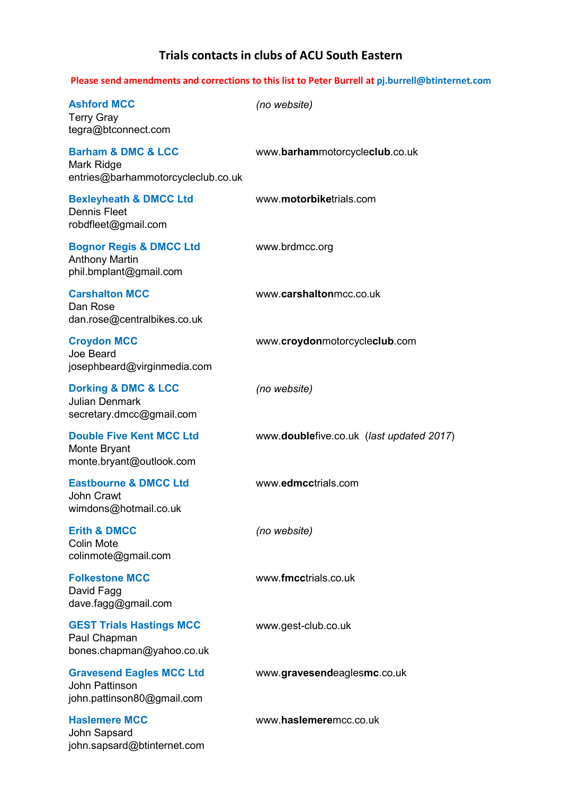## Trials contacts in clubs of ACU South Eastern

#### Please send amendments and corrections to this list to Peter Burrell at pj.burrell@btinternet.com

| <b>Ashford MCC</b><br><b>Terry Gray</b><br>tegra@btconnect.com                          | (no website)                             |
|-----------------------------------------------------------------------------------------|------------------------------------------|
| <b>Barham &amp; DMC &amp; LCC</b><br>Mark Ridge<br>entries@barhammotorcycleclub.co.uk   | www.barhammotorcycleclub.co.uk           |
| <b>Bexleyheath &amp; DMCC Ltd</b><br><b>Dennis Fleet</b><br>robdfleet@gmail.com         | www.motorbiketrials.com                  |
| <b>Bognor Regis &amp; DMCC Ltd</b><br><b>Anthony Martin</b><br>phil.bmplant@gmail.com   | www.brdmcc.org                           |
| <b>Carshalton MCC</b><br>Dan Rose<br>dan.rose@centralbikes.co.uk                        | www.carshaltonmcc.co.uk                  |
| <b>Croydon MCC</b><br>Joe Beard<br>josephbeard@virginmedia.com                          | www.croydonmotorcycleclub.com            |
| <b>Dorking &amp; DMC &amp; LCC</b><br><b>Julian Denmark</b><br>secretary.dmcc@gmail.com | (no website)                             |
| <b>Double Five Kent MCC Ltd</b><br>Monte Bryant<br>monte.bryant@outlook.com             | www.doublefive.co.uk (last updated 2017) |
| <b>Eastbourne &amp; DMCC Ltd</b><br><b>John Crawt</b><br>wimdons@hotmail.co.uk          | www.edmcctrials.com                      |
| <b>Erith &amp; DMCC</b><br><b>Colin Mote</b><br>colinmote@gmail.com                     | (no website)                             |
| <b>Folkestone MCC</b><br>David Fagg<br>dave.fagg@gmail.com                              | www.fmcctrials.co.uk                     |
| <b>GEST Trials Hastings MCC</b><br>Paul Chapman<br>bones.chapman@yahoo.co.uk            | www.gest-club.co.uk                      |
| <b>Gravesend Eagles MCC Ltd</b><br><b>John Pattinson</b><br>john.pattinson80@gmail.com  | www.gravesendeaglesmc.co.uk              |
| <b>Haslemere MCC</b><br>John Sapsard<br>john.sapsard@btinternet.com                     | www.haslemeremcc.co.uk                   |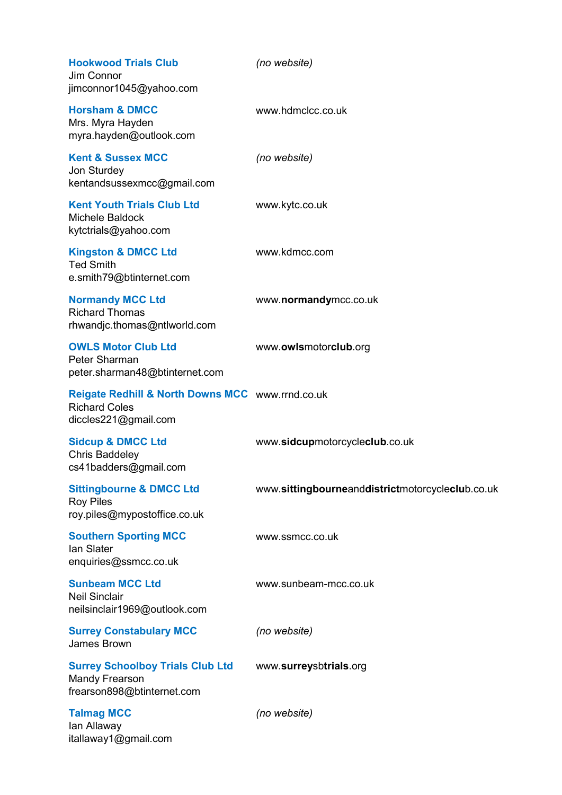| <b>Hookwood Trials Club</b><br>Jim Connor<br>jimconnor1045@yahoo.com                             | (no website)                                     |
|--------------------------------------------------------------------------------------------------|--------------------------------------------------|
| <b>Horsham &amp; DMCC</b><br>Mrs. Myra Hayden<br>myra.hayden@outlook.com                         | www.hdmclcc.co.uk                                |
| <b>Kent &amp; Sussex MCC</b><br>Jon Sturdey<br>kentandsussexmcc@gmail.com                        | (no website)                                     |
| <b>Kent Youth Trials Club Ltd</b><br>Michele Baldock<br>kytctrials@yahoo.com                     | www.kytc.co.uk                                   |
| <b>Kingston &amp; DMCC Ltd</b><br><b>Ted Smith</b><br>e.smith79@btinternet.com                   | www.kdmcc.com                                    |
| <b>Normandy MCC Ltd</b><br><b>Richard Thomas</b><br>rhwandjc.thomas@ntlworld.com                 | www.normandymcc.co.uk                            |
| <b>OWLS Motor Club Ltd</b><br>Peter Sharman<br>peter.sharman48@btinternet.com                    | www.owlsmotorclub.org                            |
| Reigate Redhill & North Downs MCC www.rrnd.co.uk<br><b>Richard Coles</b><br>diccles221@gmail.com |                                                  |
| <b>Sidcup &amp; DMCC Ltd</b><br><b>Chris Baddeley</b><br>cs41badders@gmail.com                   | www.sidcupmotorcycleclub.co.uk                   |
| <b>Sittingbourne &amp; DMCC Ltd</b><br><b>Roy Piles</b><br>roy.piles@mypostoffice.co.uk          | www.sittingbourneanddistrictmotorcycleclub.co.uk |
| <b>Southern Sporting MCC</b><br>lan Slater<br>enquiries@ssmcc.co.uk                              | www.ssmcc.co.uk                                  |
| <b>Sunbeam MCC Ltd</b><br><b>Neil Sinclair</b><br>neilsinclair1969@outlook.com                   | www.sunbeam-mcc.co.uk                            |
| <b>Surrey Constabulary MCC</b><br>James Brown                                                    | (no website)                                     |
| <b>Surrey Schoolboy Trials Club Ltd</b><br><b>Mandy Frearson</b><br>frearson898@btinternet.com   | www.surreysbtrials.org                           |
| <b>Talmag MCC</b><br>lan Allaway<br>itallaway1@gmail.com                                         | (no website)                                     |